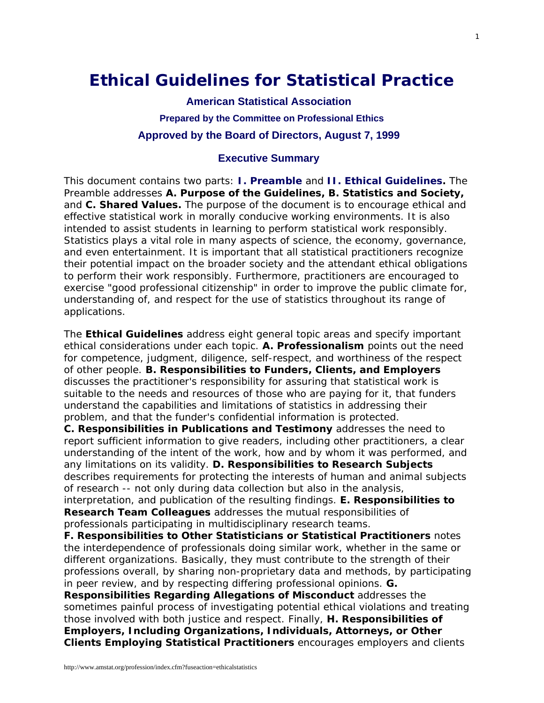# **Ethical Guidelines for Statistical Practice**

**American Statistical Association Prepared by the [Committee on Professional Ethics](https://www.amstat.org/comm/index.cfm?fuseaction=commdetails&txtComm=CCNPRO03)  Approved by the Board of Directors, August 7, 1999** 

## **Executive Summary**

This document contains two parts: **[I. Preamble](http://www.amstat.org/profession/index.cfm?fuseaction=ethicalstatistics#preamble)** and **[II. Ethical Guidelines](http://www.amstat.org/profession/index.cfm?fuseaction=ethicalstatistics#guide).** The Preamble addresses **A. Purpose of the Guidelines, B. Statistics and Society,** and **C. Shared Values.** The purpose of the document is to encourage ethical and effective statistical work in morally conducive working environments. It is also intended to assist students in learning to perform statistical work responsibly. Statistics plays a vital role in many aspects of science, the economy, governance, and even entertainment. It is important that all statistical practitioners recognize their potential impact on the broader society and the attendant ethical obligations to perform their work responsibly. Furthermore, practitioners are encouraged to exercise "good professional citizenship" in order to improve the public climate for, understanding of, and respect for the use of statistics throughout its range of applications.

The **Ethical Guidelines** address eight general topic areas and specify important ethical considerations under each topic. **A. Professionalism** points out the need for competence, judgment, diligence, self-respect, and worthiness of the respect of other people. **B. Responsibilities to Funders, Clients, and Employers** discusses the practitioner's responsibility for assuring that statistical work is suitable to the needs and resources of those who are paying for it, that funders understand the capabilities and limitations of statistics in addressing their problem, and that the funder's confidential information is protected.

**C. Responsibilities in Publications and Testimony** addresses the need to report sufficient information to give readers, including other practitioners, a clear understanding of the intent of the work, how and by whom it was performed, and any limitations on its validity. **D. Responsibilities to Research Subjects** describes requirements for protecting the interests of human and animal subjects of research -- not only during data collection but also in the analysis,

interpretation, and publication of the resulting findings. **E. Responsibilities to Research Team Colleagues** addresses the mutual responsibilities of professionals participating in multidisciplinary research teams.

**F. Responsibilities to Other Statisticians or Statistical Practitioners** notes the interdependence of professionals doing similar work, whether in the same or different organizations. Basically, they must contribute to the strength of their professions overall, by sharing non-proprietary data and methods, by participating in peer review, and by respecting differing professional opinions. **G. Responsibilities Regarding Allegations of Misconduct** addresses the sometimes painful process of investigating potential ethical violations and treating those involved with both justice and respect. Finally, **H. Responsibilities of Employers, Including Organizations, Individuals, Attorneys, or Other** 

**Clients Employing Statistical Practitioners** encourages employers and clients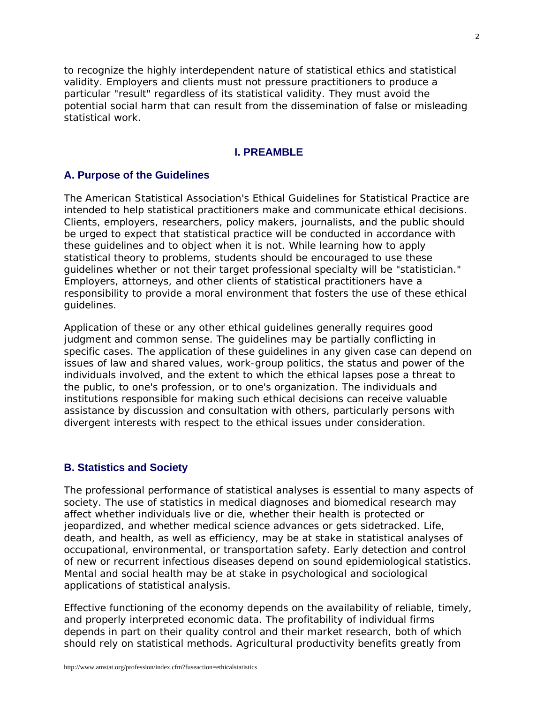to recognize the highly interdependent nature of statistical ethics and statistical validity. Employers and clients must not pressure practitioners to produce a particular "result" regardless of its statistical validity. They must avoid the potential social harm that can result from the dissemination of false or misleading statistical work.

#### **I. PREAMBLE**

## **A. Purpose of the Guidelines**

The American Statistical Association's Ethical Guidelines for Statistical Practice are intended to help statistical practitioners make and communicate ethical decisions. Clients, employers, researchers, policy makers, journalists, and the public should be urged to expect that statistical practice will be conducted in accordance with these guidelines and to object when it is not. While learning how to apply statistical theory to problems, students should be encouraged to use these guidelines whether or not their target professional specialty will be "statistician." Employers, attorneys, and other clients of statistical practitioners have a responsibility to provide a moral environment that fosters the use of these ethical guidelines.

Application of these or any other ethical guidelines generally requires good judgment and common sense. The guidelines may be partially conflicting in specific cases. The application of these guidelines in any given case can depend on issues of law and shared values, work-group politics, the status and power of the individuals involved, and the extent to which the ethical lapses pose a threat to the public, to one's profession, or to one's organization. The individuals and institutions responsible for making such ethical decisions can receive valuable assistance by discussion and consultation with others, particularly persons with divergent interests with respect to the ethical issues under consideration.

#### **B. Statistics and Society**

The professional performance of statistical analyses is essential to many aspects of society. The use of statistics in medical diagnoses and biomedical research may affect whether individuals live or die, whether their health is protected or jeopardized, and whether medical science advances or gets sidetracked. Life, death, and health, as well as efficiency, may be at stake in statistical analyses of occupational, environmental, or transportation safety. Early detection and control of new or recurrent infectious diseases depend on sound epidemiological statistics. Mental and social health may be at stake in psychological and sociological applications of statistical analysis.

Effective functioning of the economy depends on the availability of reliable, timely, and properly interpreted economic data. The profitability of individual firms depends in part on their quality control and their market research, both of which should rely on statistical methods. Agricultural productivity benefits greatly from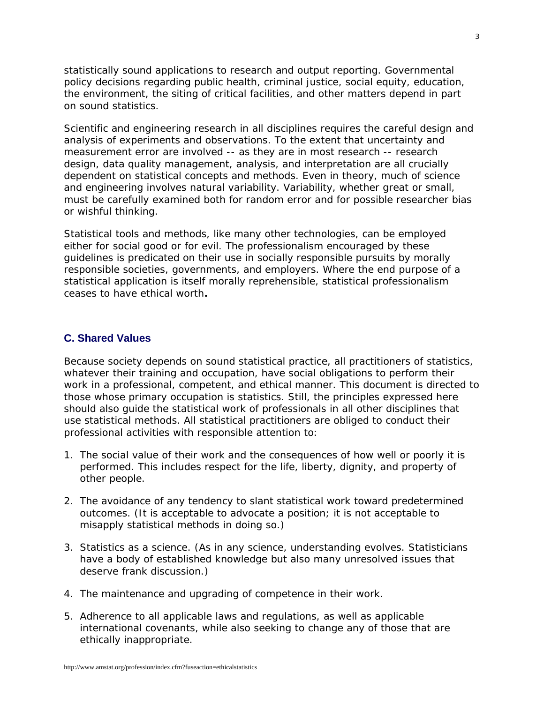statistically sound applications to research and output reporting. Governmental policy decisions regarding public health, criminal justice, social equity, education, the environment, the siting of critical facilities, and other matters depend in part on sound statistics.

Scientific and engineering research in all disciplines requires the careful design and analysis of experiments and observations. To the extent that uncertainty and measurement error are involved -- as they are in most research -- research design, data quality management, analysis, and interpretation are all crucially dependent on statistical concepts and methods. Even in theory, much of science and engineering involves natural variability. Variability, whether great or small, must be carefully examined both for random error and for possible researcher bias or wishful thinking.

Statistical tools and methods, like many other technologies, can be employed either for social good or for evil. The professionalism encouraged by these guidelines is predicated on their use in socially responsible pursuits by morally responsible societies, governments, and employers. Where the end purpose of a statistical application is itself morally reprehensible, statistical professionalism ceases to have ethical worth**.** 

## **C. Shared Values**

Because society depends on sound statistical practice, all practitioners of statistics, whatever their training and occupation, have social obligations to perform their work in a professional, competent, and ethical manner. This document is directed to those whose primary occupation is statistics. Still, the principles expressed here should also guide the statistical work of professionals in all other disciplines that use statistical methods. All statistical practitioners are obliged to conduct their professional activities with responsible attention to:

- 1. The social value of their work and the consequences of how well or poorly it is performed. This includes respect for the life, liberty, dignity, and property of other people.
- 2. The avoidance of any tendency to slant statistical work toward predetermined outcomes. (It is acceptable to advocate a position; it is not acceptable to misapply statistical methods in doing so.)
- 3. Statistics as a science. (As in any science, understanding evolves. Statisticians have a body of established knowledge but also many unresolved issues that deserve frank discussion.)
- 4. The maintenance and upgrading of competence in their work.
- 5. Adherence to all applicable laws and regulations, as well as applicable international covenants, while also seeking to change any of those that are ethically inappropriate.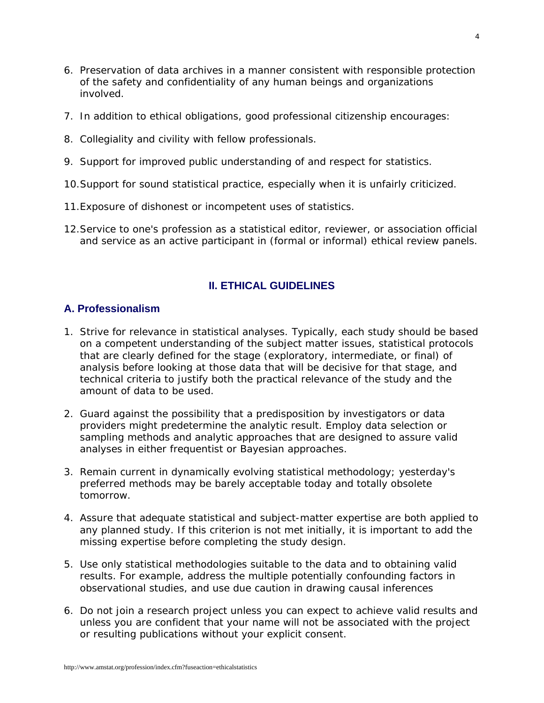- 6. Preservation of data archives in a manner consistent with responsible protection of the safety and confidentiality of any human beings and organizations involved.
- 7. In addition to ethical obligations, good professional citizenship encourages:
- 8. Collegiality and civility with fellow professionals.
- 9. Support for improved public understanding of and respect for statistics.
- 10.Support for sound statistical practice, especially when it is unfairly criticized.
- 11.Exposure of dishonest or incompetent uses of statistics.
- 12.Service to one's profession as a statistical editor, reviewer, or association official and service as an active participant in (formal or informal) ethical review panels.

# **II. ETHICAL GUIDELINES**

## **A. Professionalism**

- 1. Strive for relevance in statistical analyses. Typically, each study should be based on a competent understanding of the subject matter issues, statistical protocols that are clearly defined for the stage (exploratory, intermediate, or final) of analysis before looking at those data that will be decisive for that stage, and technical criteria to justify both the practical relevance of the study and the amount of data to be used.
- 2. Guard against the possibility that a predisposition by investigators or data providers might predetermine the analytic result. Employ data selection or sampling methods and analytic approaches that are designed to assure valid analyses in either frequentist or Bayesian approaches.
- 3. Remain current in dynamically evolving statistical methodology; yesterday's preferred methods may be barely acceptable today and totally obsolete tomorrow.
- 4. Assure that adequate statistical and subject-matter expertise are both applied to any planned study. If this criterion is not met initially, it is important to add the missing expertise before completing the study design.
- 5. Use only statistical methodologies suitable to the data and to obtaining valid results. For example, address the multiple potentially confounding factors in observational studies, and use due caution in drawing causal inferences
- 6. Do not join a research project unless you can expect to achieve valid results and unless you are confident that your name will not be associated with the project or resulting publications without your explicit consent.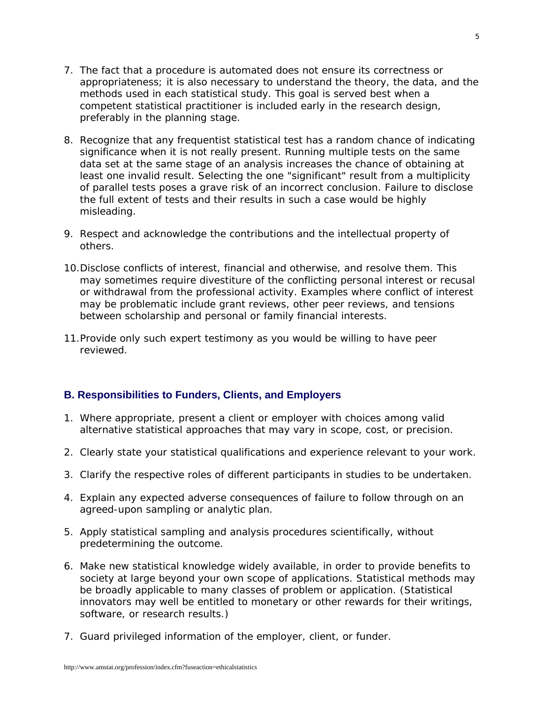- 7. The fact that a procedure is automated does not ensure its correctness or appropriateness; it is also necessary to understand the theory, the data, and the methods used in each statistical study. This goal is served best when a competent statistical practitioner is included early in the research design, preferably in the planning stage.
- 8. Recognize that any frequentist statistical test has a random chance of indicating significance when it is not really present. Running multiple tests on the same data set at the same stage of an analysis increases the chance of obtaining at least one invalid result. Selecting the one "significant" result from a multiplicity of parallel tests poses a grave risk of an incorrect conclusion. Failure to disclose the full extent of tests and their results in such a case would be highly misleading.
- 9. Respect and acknowledge the contributions and the intellectual property of others.
- 10.Disclose conflicts of interest, financial and otherwise, and resolve them. This may sometimes require divestiture of the conflicting personal interest or recusal or withdrawal from the professional activity. Examples where conflict of interest may be problematic include grant reviews, other peer reviews, and tensions between scholarship and personal or family financial interests.
- 11.Provide only such expert testimony as you would be willing to have peer reviewed.

# **B. Responsibilities to Funders, Clients, and Employers**

- 1. Where appropriate, present a client or employer with choices among valid alternative statistical approaches that may vary in scope, cost, or precision.
- 2. Clearly state your statistical qualifications and experience relevant to your work.
- 3. Clarify the respective roles of different participants in studies to be undertaken.
- 4. Explain any expected adverse consequences of failure to follow through on an agreed-upon sampling or analytic plan.
- 5. Apply statistical sampling and analysis procedures scientifically, without predetermining the outcome.
- 6. Make new statistical knowledge widely available, in order to provide benefits to society at large beyond your own scope of applications. Statistical methods may be broadly applicable to many classes of problem or application. (Statistical innovators may well be entitled to monetary or other rewards for their writings, software, or research results.)
- 7. Guard privileged information of the employer, client, or funder.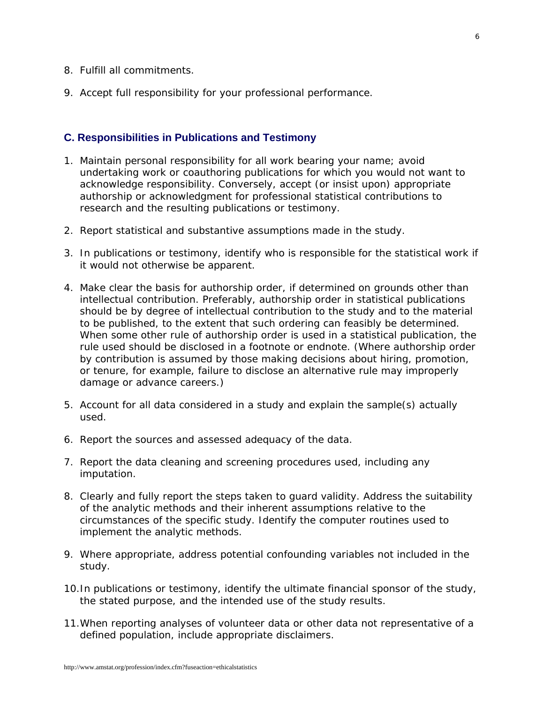- 8. Fulfill all commitments.
- 9. Accept full responsibility for your professional performance.

### **C. Responsibilities in Publications and Testimony**

- 1. Maintain personal responsibility for all work bearing your name; avoid undertaking work or coauthoring publications for which you would not want to acknowledge responsibility. Conversely, accept (or insist upon) appropriate authorship or acknowledgment for professional statistical contributions to research and the resulting publications or testimony.
- 2. Report statistical and substantive assumptions made in the study.
- 3. In publications or testimony, identify who is responsible for the statistical work if it would not otherwise be apparent.
- 4. Make clear the basis for authorship order, if determined on grounds other than intellectual contribution. Preferably, authorship order in statistical publications should be by degree of intellectual contribution to the study and to the material to be published, to the extent that such ordering can feasibly be determined. When some other rule of authorship order is used in a statistical publication, the rule used should be disclosed in a footnote or endnote. (Where authorship order by contribution is assumed by those making decisions about hiring, promotion, or tenure, for example, failure to disclose an alternative rule may improperly damage or advance careers.)
- 5. Account for all data considered in a study and explain the sample(s) actually used.
- 6. Report the sources and assessed adequacy of the data.
- 7. Report the data cleaning and screening procedures used, including any imputation.
- 8. Clearly and fully report the steps taken to guard validity. Address the suitability of the analytic methods and their inherent assumptions relative to the circumstances of the specific study. Identify the computer routines used to implement the analytic methods.
- 9. Where appropriate, address potential confounding variables not included in the study.
- 10.In publications or testimony, identify the ultimate financial sponsor of the study, the stated purpose, and the intended use of the study results.
- 11.When reporting analyses of volunteer data or other data not representative of a defined population, include appropriate disclaimers.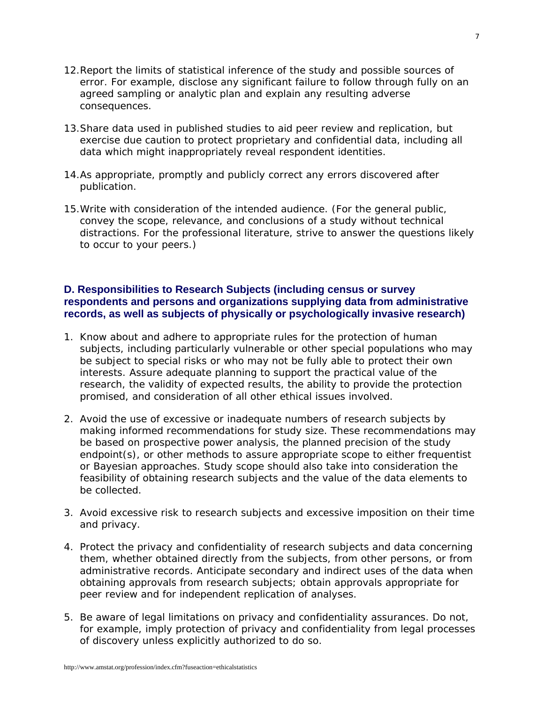- 12.Report the limits of statistical inference of the study and possible sources of error. For example, disclose any significant failure to follow through fully on an agreed sampling or analytic plan and explain any resulting adverse consequences.
- 13.Share data used in published studies to aid peer review and replication, but exercise due caution to protect proprietary and confidential data, including all data which might inappropriately reveal respondent identities.
- 14.As appropriate, promptly and publicly correct any errors discovered after publication.
- 15.Write with consideration of the intended audience. (For the general public, convey the scope, relevance, and conclusions of a study without technical distractions. For the professional literature, strive to answer the questions likely to occur to your peers.)

# **D. Responsibilities to Research Subjects (including census or survey respondents and persons and organizations supplying data from administrative records, as well as subjects of physically or psychologically invasive research)**

- 1. Know about and adhere to appropriate rules for the protection of human subjects, including particularly vulnerable or other special populations who may be subject to special risks or who may not be fully able to protect their own interests. Assure adequate planning to support the practical value of the research, the validity of expected results, the ability to provide the protection promised, and consideration of all other ethical issues involved.
- 2. Avoid the use of excessive or inadequate numbers of research subjects by making informed recommendations for study size. These recommendations may be based on prospective power analysis, the planned precision of the study endpoint(s), or other methods to assure appropriate scope to either frequentist or Bayesian approaches. Study scope should also take into consideration the feasibility of obtaining research subjects and the value of the data elements to be collected.
- 3. Avoid excessive risk to research subjects and excessive imposition on their time and privacy.
- 4. Protect the privacy and confidentiality of research subjects and data concerning them, whether obtained directly from the subjects, from other persons, or from administrative records. Anticipate secondary and indirect uses of the data when obtaining approvals from research subjects; obtain approvals appropriate for peer review and for independent replication of analyses.
- 5. Be aware of legal limitations on privacy and confidentiality assurances. Do not, for example, imply protection of privacy and confidentiality from legal processes of discovery unless explicitly authorized to do so.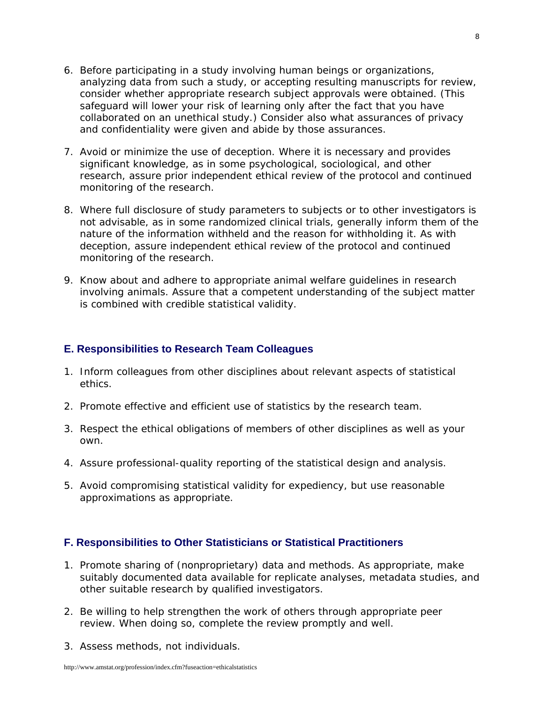- 6. Before participating in a study involving human beings or organizations, analyzing data from such a study, or accepting resulting manuscripts for review, consider whether appropriate research subject approvals were obtained. (This safeguard will lower your risk of learning only after the fact that you have collaborated on an unethical study.) Consider also what assurances of privacy and confidentiality were given and abide by those assurances.
- 7. Avoid or minimize the use of deception. Where it is necessary and provides significant knowledge, as in some psychological, sociological, and other research, assure prior independent ethical review of the protocol and continued monitoring of the research.
- 8. Where full disclosure of study parameters to subjects or to other investigators is not advisable, as in some randomized clinical trials, generally inform them of the nature of the information withheld and the reason for withholding it. As with deception, assure independent ethical review of the protocol and continued monitoring of the research.
- 9. Know about and adhere to appropriate animal welfare guidelines in research involving animals. Assure that a competent understanding of the subject matter is combined with credible statistical validity.

#### **E. Responsibilities to Research Team Colleagues**

- 1. Inform colleagues from other disciplines about relevant aspects of statistical ethics.
- 2. Promote effective and efficient use of statistics by the research team.
- 3. Respect the ethical obligations of members of other disciplines as well as your own.
- 4. Assure professional-quality reporting of the statistical design and analysis.
- 5. Avoid compromising statistical validity for expediency, but use reasonable approximations as appropriate.

### **F. Responsibilities to Other Statisticians or Statistical Practitioners**

- 1. Promote sharing of (nonproprietary) data and methods. As appropriate, make suitably documented data available for replicate analyses, metadata studies, and other suitable research by qualified investigators.
- 2. Be willing to help strengthen the work of others through appropriate peer review. When doing so, complete the review promptly and well.
- 3. Assess methods, not individuals.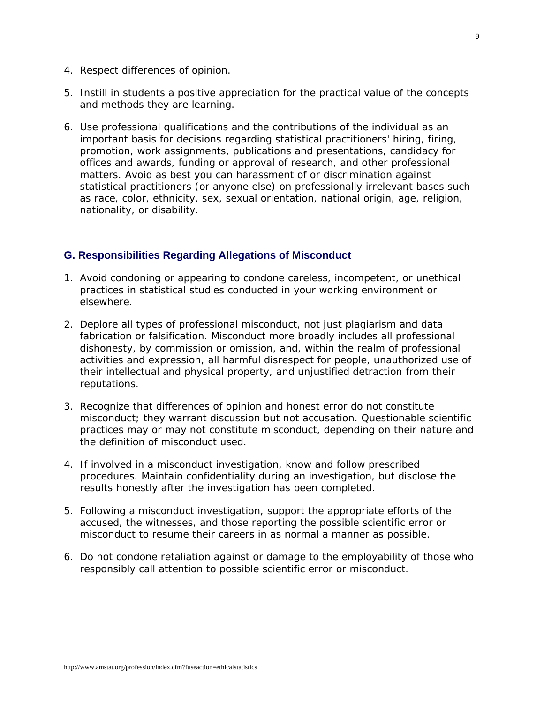- 4. Respect differences of opinion.
- 5. Instill in students a positive appreciation for the practical value of the concepts and methods they are learning.
- 6. Use professional qualifications and the contributions of the individual as an important basis for decisions regarding statistical practitioners' hiring, firing, promotion, work assignments, publications and presentations, candidacy for offices and awards, funding or approval of research, and other professional matters. Avoid as best you can harassment of or discrimination against statistical practitioners (or anyone else) on professionally irrelevant bases such as *race, color, ethnicity, sex, sexual orientation, national origin, age, religion, nationality, or disability.*

# **G. Responsibilities Regarding Allegations of Misconduct**

- 1. Avoid condoning or appearing to condone careless, incompetent, or unethical practices in statistical studies conducted in your working environment or elsewhere.
- 2. Deplore all types of professional misconduct, not just plagiarism and data fabrication or falsification. Misconduct more broadly includes all professional dishonesty, by commission or omission, and, within the realm of professional activities and expression, all harmful disrespect for people, unauthorized use of their intellectual and physical property, and unjustified detraction from their reputations.
- 3. Recognize that differences of opinion and honest error do not constitute misconduct; they warrant discussion but not accusation. Questionable scientific practices may or may not constitute misconduct, depending on their nature and the definition of misconduct used.
- 4. If involved in a misconduct investigation, know and follow prescribed procedures. Maintain confidentiality during an investigation, but disclose the results honestly after the investigation has been completed.
- 5. Following a misconduct investigation, support the appropriate efforts of the accused, the witnesses, and those reporting the possible scientific error or misconduct to resume their careers in as normal a manner as possible.
- 6. Do not condone retaliation against or damage to the employability of those who responsibly call attention to possible scientific error or misconduct.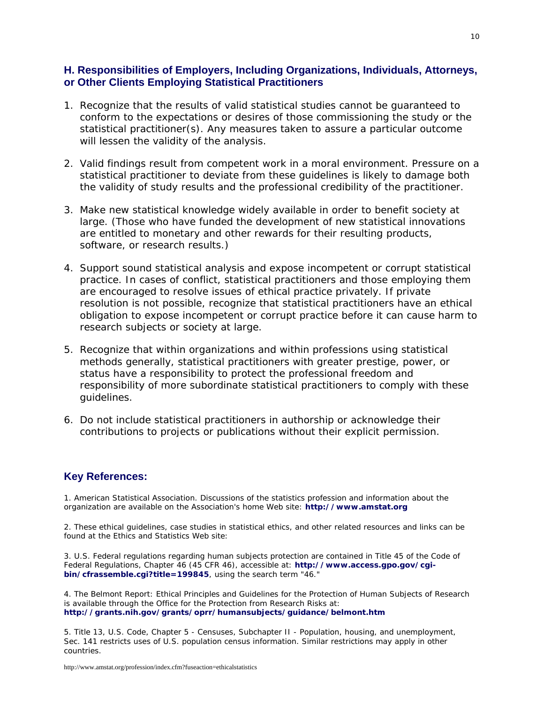## **H. Responsibilities of Employers, Including Organizations, Individuals, Attorneys, or Other Clients Employing Statistical Practitioners**

- 1. Recognize that the results of valid statistical studies cannot be guaranteed to conform to the expectations or desires of those commissioning the study or the statistical practitioner(s). Any measures taken to assure a particular outcome will lessen the validity of the analysis.
- 2. Valid findings result from competent work in a moral environment. Pressure on a statistical practitioner to deviate from these guidelines is likely to damage both the validity of study results and the professional credibility of the practitioner.
- 3. Make new statistical knowledge widely available in order to benefit society at large. (Those who have funded the development of new statistical innovations are entitled to monetary and other rewards for their resulting products, software, or research results.)
- 4. Support sound statistical analysis and expose incompetent or corrupt statistical practice. In cases of conflict, statistical practitioners and those employing them are encouraged to resolve issues of ethical practice privately. If private resolution is not possible, recognize that statistical practitioners have an ethical obligation to expose incompetent or corrupt practice before it can cause harm to research subjects or society at large.
- 5. Recognize that within organizations and within professions using statistical methods generally, statistical practitioners with greater prestige, power, or status have a responsibility to protect the professional freedom and responsibility of more subordinate statistical practitioners to comply with these guidelines.
- 6. Do not include statistical practitioners in authorship or acknowledge their contributions to projects or publications without their explicit permission.

#### **Key References:**

1. American Statistical Association. Discussions of the statistics profession and information about the organization are available on the Association's home Web site: **[http://www.amstat.org](http://www.amstat.org/)**

2. These ethical guidelines, case studies in statistical ethics, and other related resources and links can be found at the Ethics and Statistics Web site:

3. U.S. Federal regulations regarding human subjects protection are contained in Title 45 of the Code of Federal Regulations, Chapter 46 (45 CFR 46), accessible at: **[http://www.access.gpo.gov/cgi](http://www.access.gpo.gov/cgi-bin/cfrassemble.cgi?title=199845)[bin/cfrassemble.cgi?title=199845](http://www.access.gpo.gov/cgi-bin/cfrassemble.cgi?title=199845)**, using the search term "46."

4. *The Belmont Report: Ethical Principles and Guidelines for the Protection of Human Subjects of Research* is available through the Office for the Protection from Research Risks at: **<http://grants.nih.gov/grants/oprr/humansubjects/guidance/belmont.htm>**

5. Title 13, U.S. Code, Chapter 5 - Censuses, Subchapter II - Population, housing, and unemployment, Sec. 141 restricts uses of U.S. population census information. Similar restrictions may apply in other countries.